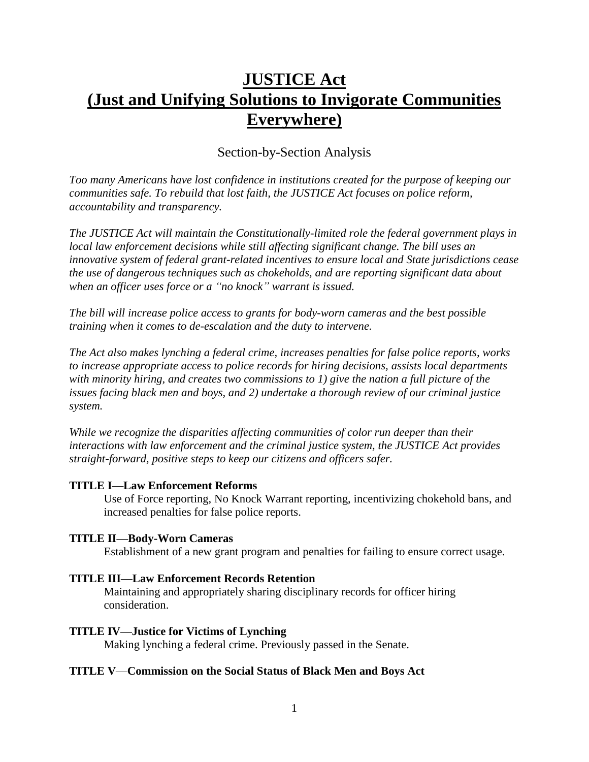# **JUSTICE Act (Just and Unifying Solutions to Invigorate Communities Everywhere)**

### Section-by-Section Analysis

*Too many Americans have lost confidence in institutions created for the purpose of keeping our communities safe. To rebuild that lost faith, the JUSTICE Act focuses on police reform, accountability and transparency.*

*The JUSTICE Act will maintain the Constitutionally-limited role the federal government plays in local law enforcement decisions while still affecting significant change. The bill uses an innovative system of federal grant-related incentives to ensure local and State jurisdictions cease the use of dangerous techniques such as chokeholds, and are reporting significant data about when an officer uses force or a "no knock" warrant is issued.*

*The bill will increase police access to grants for body-worn cameras and the best possible training when it comes to de-escalation and the duty to intervene.*

*The Act also makes lynching a federal crime, increases penalties for false police reports, works to increase appropriate access to police records for hiring decisions, assists local departments with minority hiring, and creates two commissions to 1) give the nation a full picture of the issues facing black men and boys, and 2) undertake a thorough review of our criminal justice system.*

*While we recognize the disparities affecting communities of color run deeper than their interactions with law enforcement and the criminal justice system, the JUSTICE Act provides straight-forward, positive steps to keep our citizens and officers safer.*

#### **TITLE I—Law Enforcement Reforms**

Use of Force reporting, No Knock Warrant reporting, incentivizing chokehold bans, and increased penalties for false police reports.

#### **TITLE II—Body-Worn Cameras**

Establishment of a new grant program and penalties for failing to ensure correct usage.

#### **TITLE III—Law Enforcement Records Retention**

Maintaining and appropriately sharing disciplinary records for officer hiring consideration.

#### **TITLE IV—Justice for Victims of Lynching**

Making lynching a federal crime. Previously passed in the Senate.

#### **TITLE V**—**Commission on the Social Status of Black Men and Boys Act**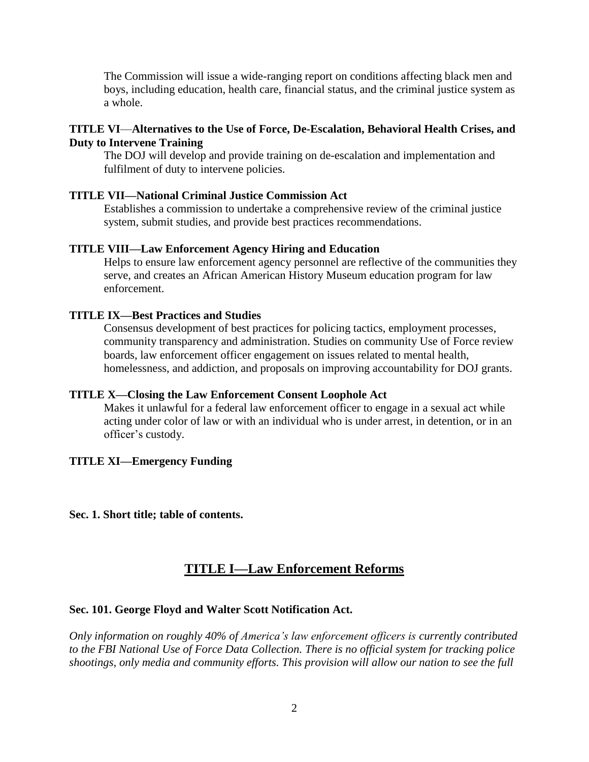The Commission will issue a wide-ranging report on conditions affecting black men and boys, including education, health care, financial status, and the criminal justice system as a whole.

#### **TITLE VI**—**Alternatives to the Use of Force, De-Escalation, Behavioral Health Crises, and Duty to Intervene Training**

The DOJ will develop and provide training on de-escalation and implementation and fulfilment of duty to intervene policies.

#### **TITLE VII—National Criminal Justice Commission Act**

Establishes a commission to undertake a comprehensive review of the criminal justice system, submit studies, and provide best practices recommendations.

#### **TITLE VIII—Law Enforcement Agency Hiring and Education**

Helps to ensure law enforcement agency personnel are reflective of the communities they serve, and creates an African American History Museum education program for law enforcement.

#### **TITLE IX—Best Practices and Studies**

Consensus development of best practices for policing tactics, employment processes, community transparency and administration. Studies on community Use of Force review boards, law enforcement officer engagement on issues related to mental health, homelessness, and addiction, and proposals on improving accountability for DOJ grants.

#### **TITLE X—Closing the Law Enforcement Consent Loophole Act**

Makes it unlawful for a federal law enforcement officer to engage in a sexual act while acting under color of law or with an individual who is under arrest, in detention, or in an officer's custody.

#### **TITLE XI—Emergency Funding**

**Sec. 1. Short title; table of contents.** 

### **TITLE I—Law Enforcement Reforms**

#### **Sec. 101. George Floyd and Walter Scott Notification Act.**

*Only information on roughly 40% of America's law enforcement officers is currently contributed to the FBI National Use of Force Data Collection. There is no official system for tracking police shootings, only media and community efforts. This provision will allow our nation to see the full*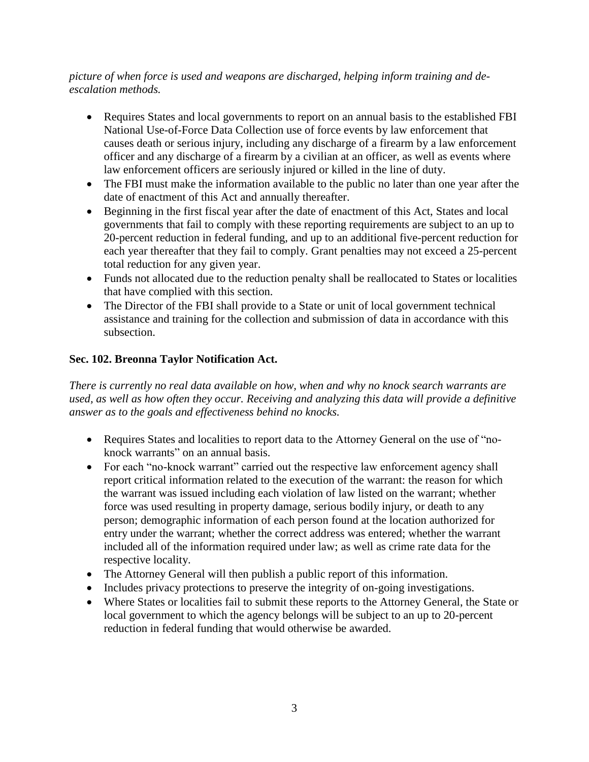#### *picture of when force is used and weapons are discharged, helping inform training and deescalation methods.*

- Requires States and local governments to report on an annual basis to the established FBI National Use-of-Force Data Collection use of force events by law enforcement that causes death or serious injury, including any discharge of a firearm by a law enforcement officer and any discharge of a firearm by a civilian at an officer, as well as events where law enforcement officers are seriously injured or killed in the line of duty.
- The FBI must make the information available to the public no later than one year after the date of enactment of this Act and annually thereafter.
- Beginning in the first fiscal year after the date of enactment of this Act, States and local governments that fail to comply with these reporting requirements are subject to an up to 20-percent reduction in federal funding, and up to an additional five-percent reduction for each year thereafter that they fail to comply. Grant penalties may not exceed a 25-percent total reduction for any given year.
- Funds not allocated due to the reduction penalty shall be reallocated to States or localities that have complied with this section.
- The Director of the FBI shall provide to a State or unit of local government technical assistance and training for the collection and submission of data in accordance with this subsection.

### **Sec. 102. Breonna Taylor Notification Act.**

*There is currently no real data available on how, when and why no knock search warrants are used, as well as how often they occur. Receiving and analyzing this data will provide a definitive answer as to the goals and effectiveness behind no knocks.*

- Requires States and localities to report data to the Attorney General on the use of "noknock warrants" on an annual basis.
- For each "no-knock warrant" carried out the respective law enforcement agency shall report critical information related to the execution of the warrant: the reason for which the warrant was issued including each violation of law listed on the warrant; whether force was used resulting in property damage, serious bodily injury, or death to any person; demographic information of each person found at the location authorized for entry under the warrant; whether the correct address was entered; whether the warrant included all of the information required under law; as well as crime rate data for the respective locality.
- The Attorney General will then publish a public report of this information.
- Includes privacy protections to preserve the integrity of on-going investigations.
- Where States or localities fail to submit these reports to the Attorney General, the State or local government to which the agency belongs will be subject to an up to 20-percent reduction in federal funding that would otherwise be awarded.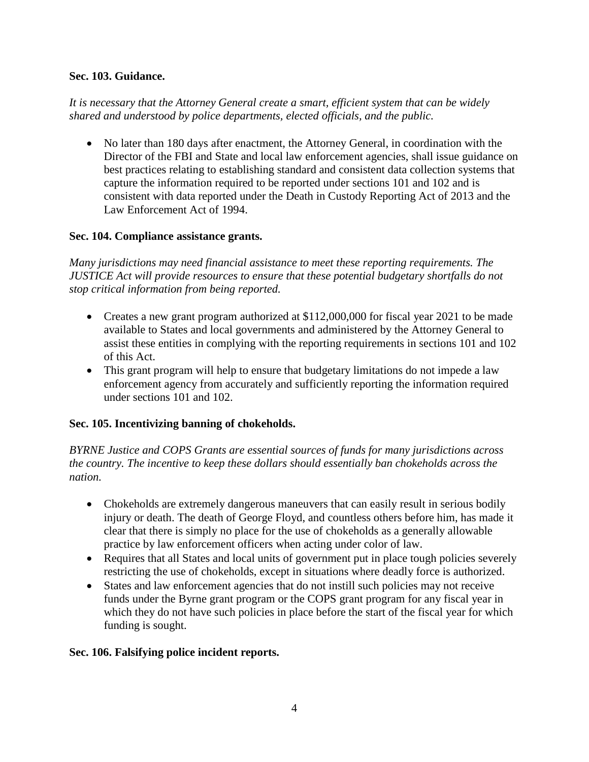### **Sec. 103. Guidance.**

*It is necessary that the Attorney General create a smart, efficient system that can be widely shared and understood by police departments, elected officials, and the public.*

 No later than 180 days after enactment, the Attorney General, in coordination with the Director of the FBI and State and local law enforcement agencies, shall issue guidance on best practices relating to establishing standard and consistent data collection systems that capture the information required to be reported under sections 101 and 102 and is consistent with data reported under the Death in Custody Reporting Act of 2013 and the Law Enforcement Act of 1994.

### **Sec. 104. Compliance assistance grants.**

*Many jurisdictions may need financial assistance to meet these reporting requirements. The JUSTICE Act will provide resources to ensure that these potential budgetary shortfalls do not stop critical information from being reported.*

- Creates a new grant program authorized at \$112,000,000 for fiscal year 2021 to be made available to States and local governments and administered by the Attorney General to assist these entities in complying with the reporting requirements in sections 101 and 102 of this Act.
- This grant program will help to ensure that budgetary limitations do not impede a law enforcement agency from accurately and sufficiently reporting the information required under sections 101 and 102.

### **Sec. 105. Incentivizing banning of chokeholds.**

*BYRNE Justice and COPS Grants are essential sources of funds for many jurisdictions across the country. The incentive to keep these dollars should essentially ban chokeholds across the nation.*

- Chokeholds are extremely dangerous maneuvers that can easily result in serious bodily injury or death. The death of George Floyd, and countless others before him, has made it clear that there is simply no place for the use of chokeholds as a generally allowable practice by law enforcement officers when acting under color of law.
- Requires that all States and local units of government put in place tough policies severely restricting the use of chokeholds, except in situations where deadly force is authorized.
- States and law enforcement agencies that do not instill such policies may not receive funds under the Byrne grant program or the COPS grant program for any fiscal year in which they do not have such policies in place before the start of the fiscal year for which funding is sought.

### **Sec. 106. Falsifying police incident reports.**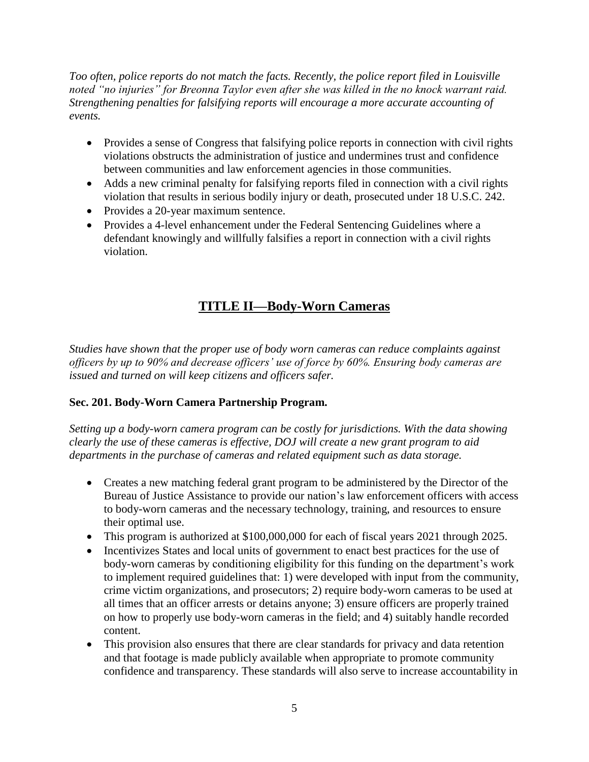*Too often, police reports do not match the facts. Recently, the police report filed in Louisville noted "no injuries" for Breonna Taylor even after she was killed in the no knock warrant raid. Strengthening penalties for falsifying reports will encourage a more accurate accounting of events.*

- Provides a sense of Congress that falsifying police reports in connection with civil rights violations obstructs the administration of justice and undermines trust and confidence between communities and law enforcement agencies in those communities.
- Adds a new criminal penalty for falsifying reports filed in connection with a civil rights violation that results in serious bodily injury or death, prosecuted under 18 U.S.C. 242.
- Provides a 20-year maximum sentence.
- Provides a 4-level enhancement under the Federal Sentencing Guidelines where a defendant knowingly and willfully falsifies a report in connection with a civil rights violation.

## **TITLE II—Body-Worn Cameras**

*Studies have shown that the proper use of body worn cameras can reduce complaints against officers by up to 90% and decrease officers' use of force by 60%. Ensuring body cameras are issued and turned on will keep citizens and officers safer.*

### **Sec. 201. Body-Worn Camera Partnership Program.**

*Setting up a body-worn camera program can be costly for jurisdictions. With the data showing clearly the use of these cameras is effective, DOJ will create a new grant program to aid departments in the purchase of cameras and related equipment such as data storage.*

- Creates a new matching federal grant program to be administered by the Director of the Bureau of Justice Assistance to provide our nation's law enforcement officers with access to body-worn cameras and the necessary technology, training, and resources to ensure their optimal use.
- This program is authorized at \$100,000,000 for each of fiscal years 2021 through 2025.
- Incentivizes States and local units of government to enact best practices for the use of body-worn cameras by conditioning eligibility for this funding on the department's work to implement required guidelines that: 1) were developed with input from the community, crime victim organizations, and prosecutors; 2) require body-worn cameras to be used at all times that an officer arrests or detains anyone; 3) ensure officers are properly trained on how to properly use body-worn cameras in the field; and 4) suitably handle recorded content.
- This provision also ensures that there are clear standards for privacy and data retention and that footage is made publicly available when appropriate to promote community confidence and transparency. These standards will also serve to increase accountability in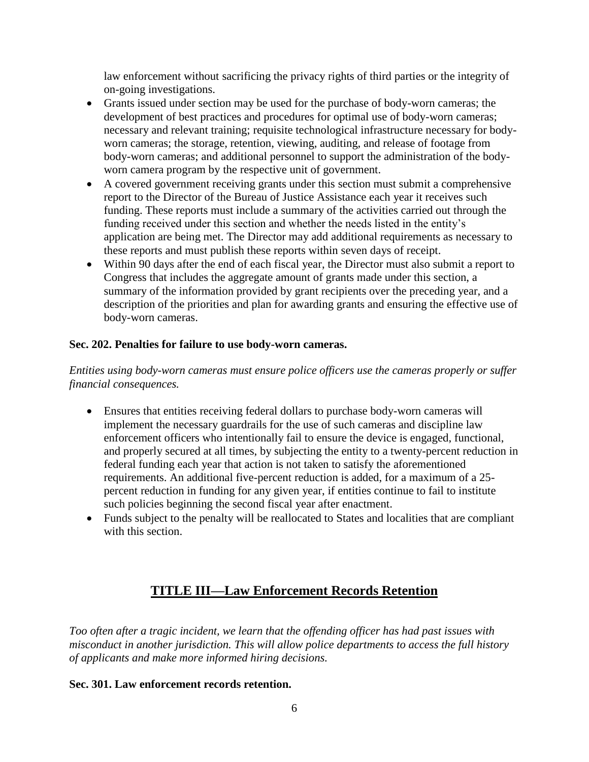law enforcement without sacrificing the privacy rights of third parties or the integrity of on-going investigations.

- Grants issued under section may be used for the purchase of body-worn cameras; the development of best practices and procedures for optimal use of body-worn cameras; necessary and relevant training; requisite technological infrastructure necessary for bodyworn cameras; the storage, retention, viewing, auditing, and release of footage from body-worn cameras; and additional personnel to support the administration of the bodyworn camera program by the respective unit of government.
- A covered government receiving grants under this section must submit a comprehensive report to the Director of the Bureau of Justice Assistance each year it receives such funding. These reports must include a summary of the activities carried out through the funding received under this section and whether the needs listed in the entity's application are being met. The Director may add additional requirements as necessary to these reports and must publish these reports within seven days of receipt.
- Within 90 days after the end of each fiscal year, the Director must also submit a report to Congress that includes the aggregate amount of grants made under this section, a summary of the information provided by grant recipients over the preceding year, and a description of the priorities and plan for awarding grants and ensuring the effective use of body-worn cameras.

### **Sec. 202. Penalties for failure to use body-worn cameras.**

*Entities using body-worn cameras must ensure police officers use the cameras properly or suffer financial consequences.*

- Ensures that entities receiving federal dollars to purchase body-worn cameras will implement the necessary guardrails for the use of such cameras and discipline law enforcement officers who intentionally fail to ensure the device is engaged, functional, and properly secured at all times, by subjecting the entity to a twenty-percent reduction in federal funding each year that action is not taken to satisfy the aforementioned requirements. An additional five-percent reduction is added, for a maximum of a 25 percent reduction in funding for any given year, if entities continue to fail to institute such policies beginning the second fiscal year after enactment.
- Funds subject to the penalty will be reallocated to States and localities that are compliant with this section

## **TITLE III—Law Enforcement Records Retention**

*Too often after a tragic incident, we learn that the offending officer has had past issues with misconduct in another jurisdiction. This will allow police departments to access the full history of applicants and make more informed hiring decisions.*

### **Sec. 301. Law enforcement records retention.**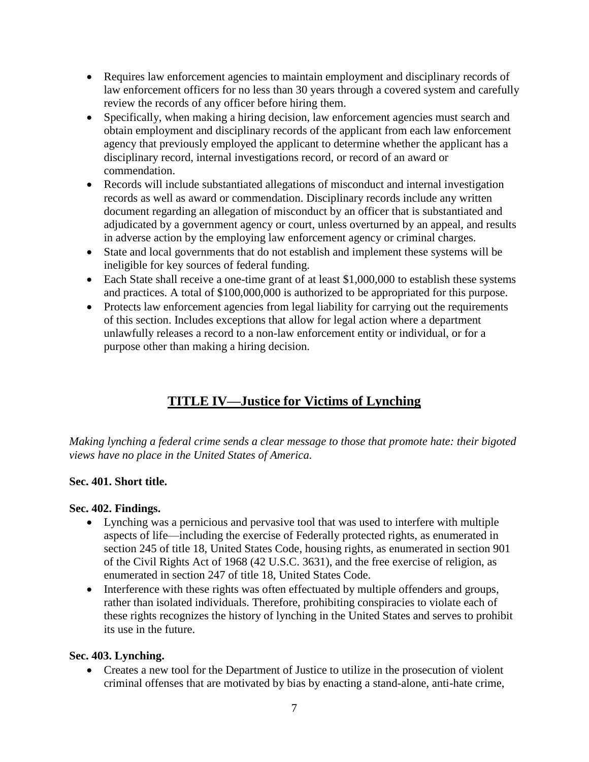- Requires law enforcement agencies to maintain employment and disciplinary records of law enforcement officers for no less than 30 years through a covered system and carefully review the records of any officer before hiring them.
- Specifically, when making a hiring decision, law enforcement agencies must search and obtain employment and disciplinary records of the applicant from each law enforcement agency that previously employed the applicant to determine whether the applicant has a disciplinary record, internal investigations record, or record of an award or commendation.
- Records will include substantiated allegations of misconduct and internal investigation records as well as award or commendation. Disciplinary records include any written document regarding an allegation of misconduct by an officer that is substantiated and adjudicated by a government agency or court, unless overturned by an appeal, and results in adverse action by the employing law enforcement agency or criminal charges.
- State and local governments that do not establish and implement these systems will be ineligible for key sources of federal funding.
- Each State shall receive a one-time grant of at least \$1,000,000 to establish these systems and practices. A total of \$100,000,000 is authorized to be appropriated for this purpose.
- Protects law enforcement agencies from legal liability for carrying out the requirements of this section. Includes exceptions that allow for legal action where a department unlawfully releases a record to a non-law enforcement entity or individual, or for a purpose other than making a hiring decision.

## **TITLE IV—Justice for Victims of Lynching**

*Making lynching a federal crime sends a clear message to those that promote hate: their bigoted views have no place in the United States of America.*

### **Sec. 401. Short title.**

### **Sec. 402. Findings.**

- Lynching was a pernicious and pervasive tool that was used to interfere with multiple aspects of life—including the exercise of Federally protected rights, as enumerated in section 245 of title 18, United States Code, housing rights, as enumerated in section 901 of the Civil Rights Act of 1968 (42 U.S.C. 3631), and the free exercise of religion, as enumerated in section 247 of title 18, United States Code.
- Interference with these rights was often effectuated by multiple offenders and groups, rather than isolated individuals. Therefore, prohibiting conspiracies to violate each of these rights recognizes the history of lynching in the United States and serves to prohibit its use in the future.

### **Sec. 403. Lynching.**

• Creates a new tool for the Department of Justice to utilize in the prosecution of violent criminal offenses that are motivated by bias by enacting a stand-alone, anti-hate crime,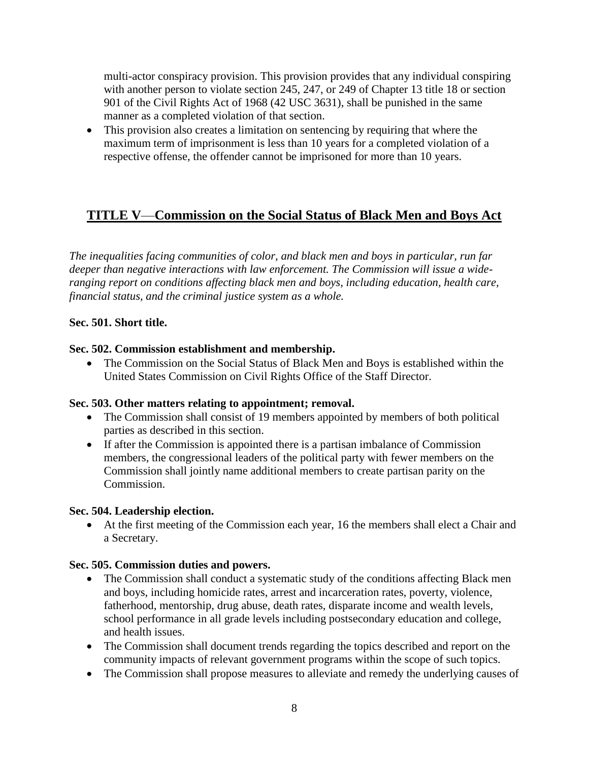multi-actor conspiracy provision. This provision provides that any individual conspiring with another person to violate section 245, 247, or 249 of Chapter 13 title 18 or section 901 of the Civil Rights Act of 1968 (42 USC 3631), shall be punished in the same manner as a completed violation of that section.

 This provision also creates a limitation on sentencing by requiring that where the maximum term of imprisonment is less than 10 years for a completed violation of a respective offense, the offender cannot be imprisoned for more than 10 years.

## **TITLE V**—**Commission on the Social Status of Black Men and Boys Act**

*The inequalities facing communities of color, and black men and boys in particular, run far deeper than negative interactions with law enforcement. The Commission will issue a wideranging report on conditions affecting black men and boys, including education, health care, financial status, and the criminal justice system as a whole.*

#### **Sec. 501. Short title.**

#### **Sec. 502. Commission establishment and membership.**

• The Commission on the Social Status of Black Men and Boys is established within the United States Commission on Civil Rights Office of the Staff Director.

#### **Sec. 503. Other matters relating to appointment; removal.**

- The Commission shall consist of 19 members appointed by members of both political parties as described in this section.
- If after the Commission is appointed there is a partisan imbalance of Commission members, the congressional leaders of the political party with fewer members on the Commission shall jointly name additional members to create partisan parity on the Commission.

#### **Sec. 504. Leadership election.**

 At the first meeting of the Commission each year, 16 the members shall elect a Chair and a Secretary.

#### **Sec. 505. Commission duties and powers.**

- The Commission shall conduct a systematic study of the conditions affecting Black men and boys, including homicide rates, arrest and incarceration rates, poverty, violence, fatherhood, mentorship, drug abuse, death rates, disparate income and wealth levels, school performance in all grade levels including postsecondary education and college, and health issues.
- The Commission shall document trends regarding the topics described and report on the community impacts of relevant government programs within the scope of such topics.
- The Commission shall propose measures to alleviate and remedy the underlying causes of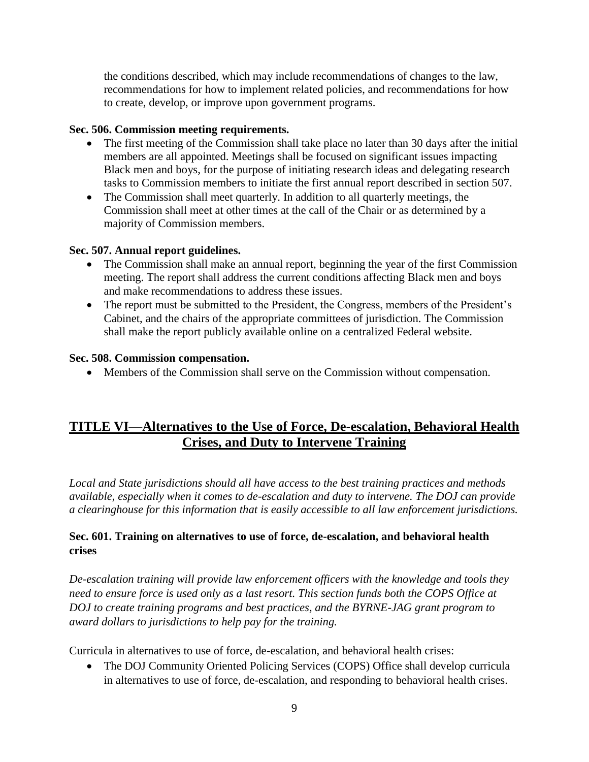the conditions described, which may include recommendations of changes to the law, recommendations for how to implement related policies, and recommendations for how to create, develop, or improve upon government programs.

#### **Sec. 506. Commission meeting requirements.**

- The first meeting of the Commission shall take place no later than 30 days after the initial members are all appointed. Meetings shall be focused on significant issues impacting Black men and boys, for the purpose of initiating research ideas and delegating research tasks to Commission members to initiate the first annual report described in section 507.
- The Commission shall meet quarterly. In addition to all quarterly meetings, the Commission shall meet at other times at the call of the Chair or as determined by a majority of Commission members.

#### **Sec. 507. Annual report guidelines.**

- The Commission shall make an annual report, beginning the year of the first Commission meeting. The report shall address the current conditions affecting Black men and boys and make recommendations to address these issues.
- The report must be submitted to the President, the Congress, members of the President's Cabinet, and the chairs of the appropriate committees of jurisdiction. The Commission shall make the report publicly available online on a centralized Federal website.

#### **Sec. 508. Commission compensation.**

Members of the Commission shall serve on the Commission without compensation.

## **TITLE VI**—**Alternatives to the Use of Force, De-escalation, Behavioral Health Crises, and Duty to Intervene Training**

*Local and State jurisdictions should all have access to the best training practices and methods available, especially when it comes to de-escalation and duty to intervene. The DOJ can provide a clearinghouse for this information that is easily accessible to all law enforcement jurisdictions.*

### **Sec. 601. Training on alternatives to use of force, de-escalation, and behavioral health crises**

*De-escalation training will provide law enforcement officers with the knowledge and tools they need to ensure force is used only as a last resort. This section funds both the COPS Office at DOJ to create training programs and best practices, and the BYRNE-JAG grant program to award dollars to jurisdictions to help pay for the training.*

Curricula in alternatives to use of force, de-escalation, and behavioral health crises:

 The DOJ Community Oriented Policing Services (COPS) Office shall develop curricula in alternatives to use of force, de-escalation, and responding to behavioral health crises.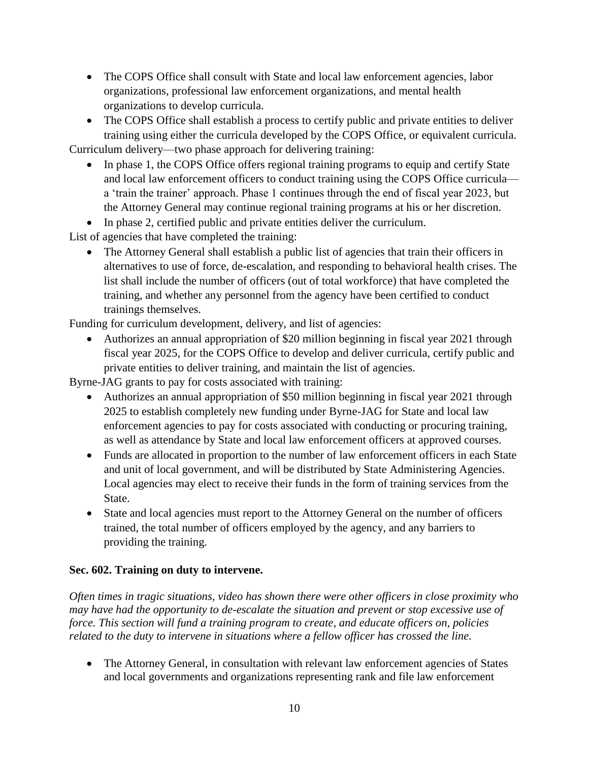- The COPS Office shall consult with State and local law enforcement agencies, labor organizations, professional law enforcement organizations, and mental health organizations to develop curricula.
- The COPS Office shall establish a process to certify public and private entities to deliver training using either the curricula developed by the COPS Office, or equivalent curricula. Curriculum delivery—two phase approach for delivering training:
	- In phase 1, the COPS Office offers regional training programs to equip and certify State and local law enforcement officers to conduct training using the COPS Office curricula a 'train the trainer' approach. Phase 1 continues through the end of fiscal year 2023, but the Attorney General may continue regional training programs at his or her discretion.
	- In phase 2, certified public and private entities deliver the curriculum.

List of agencies that have completed the training:

• The Attorney General shall establish a public list of agencies that train their officers in alternatives to use of force, de-escalation, and responding to behavioral health crises. The list shall include the number of officers (out of total workforce) that have completed the training, and whether any personnel from the agency have been certified to conduct trainings themselves.

Funding for curriculum development, delivery, and list of agencies:

• Authorizes an annual appropriation of \$20 million beginning in fiscal year 2021 through fiscal year 2025, for the COPS Office to develop and deliver curricula, certify public and private entities to deliver training, and maintain the list of agencies.

Byrne-JAG grants to pay for costs associated with training:

- Authorizes an annual appropriation of \$50 million beginning in fiscal year 2021 through 2025 to establish completely new funding under Byrne-JAG for State and local law enforcement agencies to pay for costs associated with conducting or procuring training, as well as attendance by State and local law enforcement officers at approved courses.
- Funds are allocated in proportion to the number of law enforcement officers in each State and unit of local government, and will be distributed by State Administering Agencies. Local agencies may elect to receive their funds in the form of training services from the State.
- State and local agencies must report to the Attorney General on the number of officers trained, the total number of officers employed by the agency, and any barriers to providing the training.

#### **Sec. 602. Training on duty to intervene.**

*Often times in tragic situations, video has shown there were other officers in close proximity who may have had the opportunity to de-escalate the situation and prevent or stop excessive use of force. This section will fund a training program to create, and educate officers on, policies related to the duty to intervene in situations where a fellow officer has crossed the line.*

• The Attorney General, in consultation with relevant law enforcement agencies of States and local governments and organizations representing rank and file law enforcement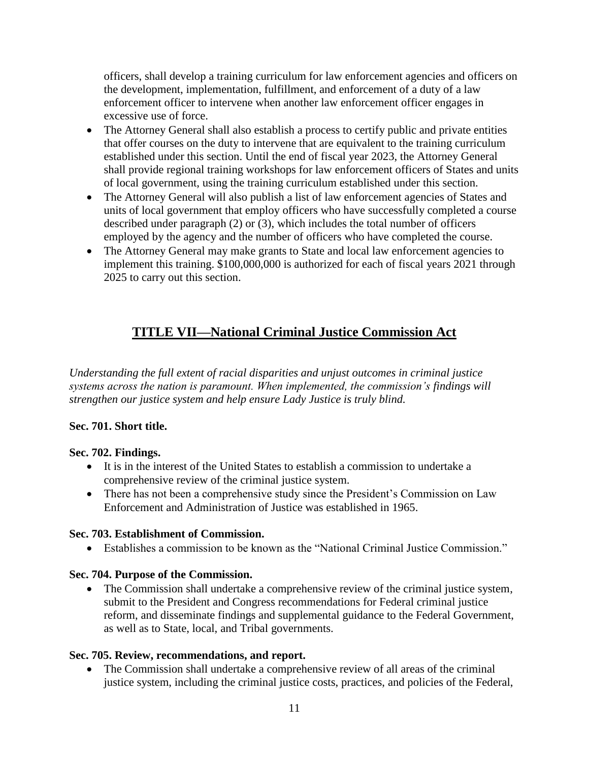officers, shall develop a training curriculum for law enforcement agencies and officers on the development, implementation, fulfillment, and enforcement of a duty of a law enforcement officer to intervene when another law enforcement officer engages in excessive use of force.

- The Attorney General shall also establish a process to certify public and private entities that offer courses on the duty to intervene that are equivalent to the training curriculum established under this section. Until the end of fiscal year 2023, the Attorney General shall provide regional training workshops for law enforcement officers of States and units of local government, using the training curriculum established under this section.
- The Attorney General will also publish a list of law enforcement agencies of States and units of local government that employ officers who have successfully completed a course described under paragraph (2) or  $(3)$ , which includes the total number of officers employed by the agency and the number of officers who have completed the course.
- The Attorney General may make grants to State and local law enforcement agencies to implement this training. \$100,000,000 is authorized for each of fiscal years 2021 through 2025 to carry out this section.

## **TITLE VII—National Criminal Justice Commission Act**

*Understanding the full extent of racial disparities and unjust outcomes in criminal justice systems across the nation is paramount. When implemented, the commission's findings will strengthen our justice system and help ensure Lady Justice is truly blind.*

### **Sec. 701. Short title.**

#### **Sec. 702. Findings.**

- It is in the interest of the United States to establish a commission to undertake a comprehensive review of the criminal justice system.
- There has not been a comprehensive study since the President's Commission on Law Enforcement and Administration of Justice was established in 1965.

#### **Sec. 703. Establishment of Commission.**

Establishes a commission to be known as the "National Criminal Justice Commission."

### **Sec. 704. Purpose of the Commission.**

• The Commission shall undertake a comprehensive review of the criminal justice system, submit to the President and Congress recommendations for Federal criminal justice reform, and disseminate findings and supplemental guidance to the Federal Government, as well as to State, local, and Tribal governments.

#### **Sec. 705. Review, recommendations, and report.**

 The Commission shall undertake a comprehensive review of all areas of the criminal justice system, including the criminal justice costs, practices, and policies of the Federal,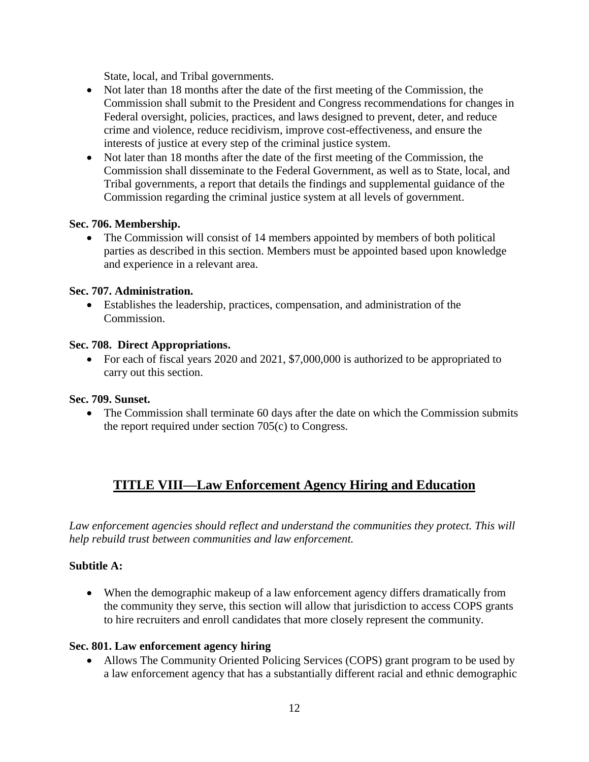State, local, and Tribal governments.

- Not later than 18 months after the date of the first meeting of the Commission, the Commission shall submit to the President and Congress recommendations for changes in Federal oversight, policies, practices, and laws designed to prevent, deter, and reduce crime and violence, reduce recidivism, improve cost-effectiveness, and ensure the interests of justice at every step of the criminal justice system.
- Not later than 18 months after the date of the first meeting of the Commission, the Commission shall disseminate to the Federal Government, as well as to State, local, and Tribal governments, a report that details the findings and supplemental guidance of the Commission regarding the criminal justice system at all levels of government.

#### **Sec. 706. Membership.**

 The Commission will consist of 14 members appointed by members of both political parties as described in this section. Members must be appointed based upon knowledge and experience in a relevant area.

#### **Sec. 707. Administration.**

 Establishes the leadership, practices, compensation, and administration of the Commission.

#### **Sec. 708. Direct Appropriations.**

• For each of fiscal years 2020 and 2021, \$7,000,000 is authorized to be appropriated to carry out this section.

#### **Sec. 709. Sunset.**

• The Commission shall terminate 60 days after the date on which the Commission submits the report required under section 705(c) to Congress.

## **TITLE VIII—Law Enforcement Agency Hiring and Education**

*Law enforcement agencies should reflect and understand the communities they protect. This will help rebuild trust between communities and law enforcement.*

#### **Subtitle A:**

 When the demographic makeup of a law enforcement agency differs dramatically from the community they serve, this section will allow that jurisdiction to access COPS grants to hire recruiters and enroll candidates that more closely represent the community.

#### **Sec. 801. Law enforcement agency hiring**

• Allows The Community Oriented Policing Services (COPS) grant program to be used by a law enforcement agency that has a substantially different racial and ethnic demographic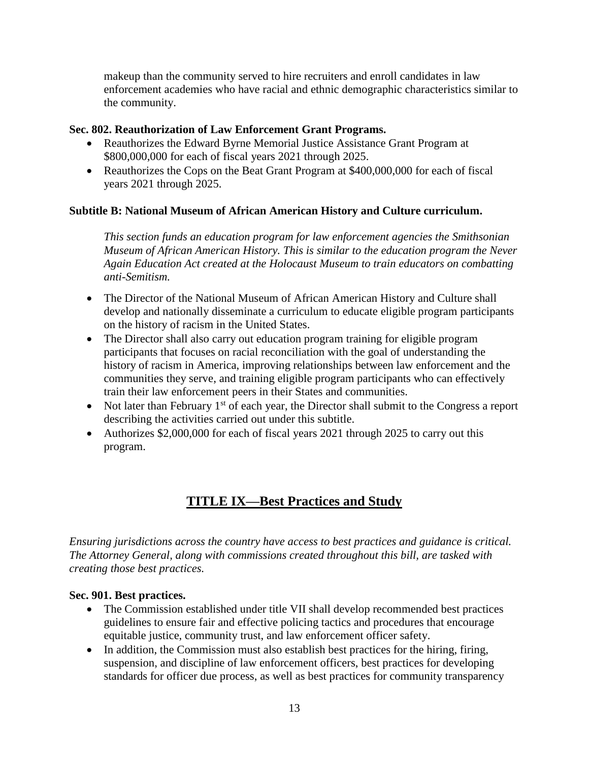makeup than the community served to hire recruiters and enroll candidates in law enforcement academies who have racial and ethnic demographic characteristics similar to the community.

#### **Sec. 802. Reauthorization of Law Enforcement Grant Programs.**

- Reauthorizes the Edward Byrne Memorial Justice Assistance Grant Program at \$800,000,000 for each of fiscal years 2021 through 2025.
- Reauthorizes the Cops on the Beat Grant Program at \$400,000,000 for each of fiscal years 2021 through 2025.

#### **Subtitle B: National Museum of African American History and Culture curriculum.**

*This section funds an education program for law enforcement agencies the Smithsonian Museum of African American History. This is similar to the education program the Never Again Education Act created at the Holocaust Museum to train educators on combatting anti-Semitism.*

- The Director of the National Museum of African American History and Culture shall develop and nationally disseminate a curriculum to educate eligible program participants on the history of racism in the United States.
- The Director shall also carry out education program training for eligible program participants that focuses on racial reconciliation with the goal of understanding the history of racism in America, improving relationships between law enforcement and the communities they serve, and training eligible program participants who can effectively train their law enforcement peers in their States and communities.
- Not later than February  $1<sup>st</sup>$  of each year, the Director shall submit to the Congress a report describing the activities carried out under this subtitle.
- Authorizes \$2,000,000 for each of fiscal years 2021 through 2025 to carry out this program.

## **TITLE IX—Best Practices and Study**

*Ensuring jurisdictions across the country have access to best practices and guidance is critical. The Attorney General, along with commissions created throughout this bill, are tasked with creating those best practices.*

#### **Sec. 901. Best practices.**

- The Commission established under title VII shall develop recommended best practices guidelines to ensure fair and effective policing tactics and procedures that encourage equitable justice, community trust, and law enforcement officer safety.
- In addition, the Commission must also establish best practices for the hiring, firing, suspension, and discipline of law enforcement officers, best practices for developing standards for officer due process, as well as best practices for community transparency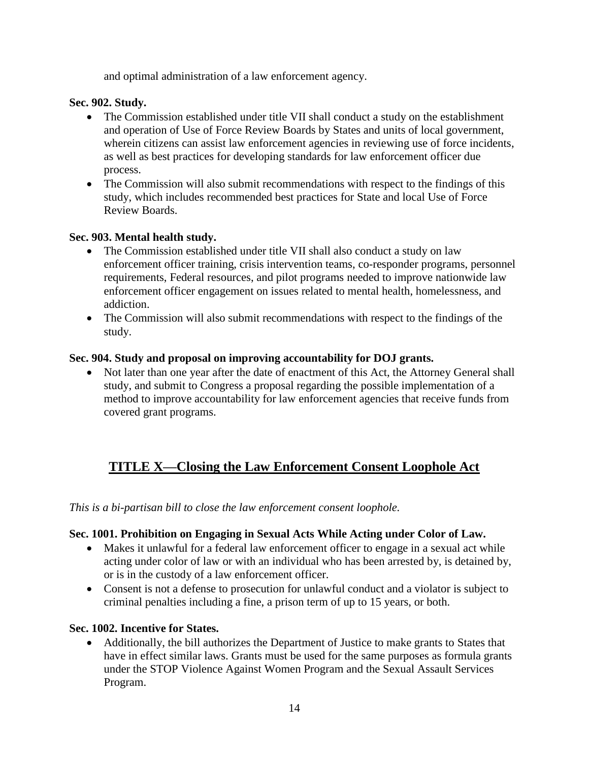and optimal administration of a law enforcement agency.

#### **Sec. 902. Study.**

- The Commission established under title VII shall conduct a study on the establishment and operation of Use of Force Review Boards by States and units of local government, wherein citizens can assist law enforcement agencies in reviewing use of force incidents, as well as best practices for developing standards for law enforcement officer due process.
- The Commission will also submit recommendations with respect to the findings of this study, which includes recommended best practices for State and local Use of Force Review Boards.

#### **Sec. 903. Mental health study.**

- The Commission established under title VII shall also conduct a study on law enforcement officer training, crisis intervention teams, co-responder programs, personnel requirements, Federal resources, and pilot programs needed to improve nationwide law enforcement officer engagement on issues related to mental health, homelessness, and addiction.
- The Commission will also submit recommendations with respect to the findings of the study.

#### **Sec. 904. Study and proposal on improving accountability for DOJ grants.**

• Not later than one year after the date of enactment of this Act, the Attorney General shall study, and submit to Congress a proposal regarding the possible implementation of a method to improve accountability for law enforcement agencies that receive funds from covered grant programs.

## **TITLE X—Closing the Law Enforcement Consent Loophole Act**

*This is a bi-partisan bill to close the law enforcement consent loophole.*

#### **Sec. 1001. Prohibition on Engaging in Sexual Acts While Acting under Color of Law.**

- Makes it unlawful for a federal law enforcement officer to engage in a sexual act while acting under color of law or with an individual who has been arrested by, is detained by, or is in the custody of a law enforcement officer.
- Consent is not a defense to prosecution for unlawful conduct and a violator is subject to criminal penalties including a fine, a prison term of up to 15 years, or both.

#### **Sec. 1002. Incentive for States.**

 Additionally, the bill authorizes the Department of Justice to make grants to States that have in effect similar laws. Grants must be used for the same purposes as formula grants under the STOP Violence Against Women Program and the Sexual Assault Services Program.